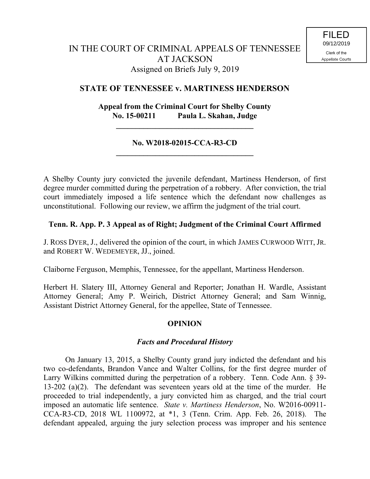## **STATE OF TENNESSEE v. MARTINESS HENDERSON**

# **Appeal from the Criminal Court for Shelby County No. 15-00211 Paula L. Skahan, Judge**

**\_\_\_\_\_\_\_\_\_\_\_\_\_\_\_\_\_\_\_\_\_\_\_\_\_\_\_\_\_\_\_\_\_\_\_**

### **No. W2018-02015-CCA-R3-CD \_\_\_\_\_\_\_\_\_\_\_\_\_\_\_\_\_\_\_\_\_\_\_\_\_\_\_\_\_\_\_\_\_\_\_**

A Shelby County jury convicted the juvenile defendant, Martiness Henderson, of first degree murder committed during the perpetration of a robbery. After conviction, the trial court immediately imposed a life sentence which the defendant now challenges as unconstitutional. Following our review, we affirm the judgment of the trial court.

## **Tenn. R. App. P. 3 Appeal as of Right; Judgment of the Criminal Court Affirmed**

J. ROSS DYER, J., delivered the opinion of the court, in which JAMES CURWOOD WITT, JR. and ROBERT W. WEDEMEYER, JJ., joined.

Claiborne Ferguson, Memphis, Tennessee, for the appellant, Martiness Henderson.

Herbert H. Slatery III, Attorney General and Reporter; Jonathan H. Wardle, Assistant Attorney General; Amy P. Weirich, District Attorney General; and Sam Winnig, Assistant District Attorney General, for the appellee, State of Tennessee.

### **OPINION**

### *Facts and Procedural History*

On January 13, 2015, a Shelby County grand jury indicted the defendant and his two co-defendants, Brandon Vance and Walter Collins, for the first degree murder of Larry Wilkins committed during the perpetration of a robbery. Tenn. Code Ann. § 39- 13-202 (a)(2). The defendant was seventeen years old at the time of the murder. He proceeded to trial independently, a jury convicted him as charged, and the trial court imposed an automatic life sentence. *State v. Martiness Henderson*, No. W2016-00911- CCA-R3-CD, 2018 WL 1100972, at \*1, 3 (Tenn. Crim. App. Feb. 26, 2018). The defendant appealed, arguing the jury selection process was improper and his sentence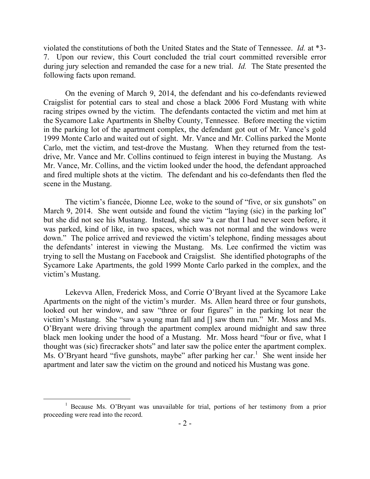violated the constitutions of both the United States and the State of Tennessee. *Id.* at \*3- 7.Upon our review, this Court concluded the trial court committed reversible error during jury selection and remanded the case for a new trial. *Id.* The State presented the following facts upon remand.

On the evening of March 9, 2014, the defendant and his co-defendants reviewed Craigslist for potential cars to steal and chose a black 2006 Ford Mustang with white racing stripes owned by the victim. The defendants contacted the victim and met him at the Sycamore Lake Apartments in Shelby County, Tennessee. Before meeting the victim in the parking lot of the apartment complex, the defendant got out of Mr. Vance's gold 1999 Monte Carlo and waited out of sight. Mr. Vance and Mr. Collins parked the Monte Carlo, met the victim, and test-drove the Mustang. When they returned from the testdrive, Mr. Vance and Mr. Collins continued to feign interest in buying the Mustang. As Mr. Vance, Mr. Collins, and the victim looked under the hood, the defendant approached and fired multiple shots at the victim. The defendant and his co-defendants then fled the scene in the Mustang.

The victim's fiancée, Dionne Lee, woke to the sound of "five, or six gunshots" on March 9, 2014. She went outside and found the victim "laying (sic) in the parking lot" but she did not see his Mustang. Instead, she saw "a car that I had never seen before, it was parked, kind of like, in two spaces, which was not normal and the windows were down." The police arrived and reviewed the victim's telephone, finding messages about the defendants' interest in viewing the Mustang. Ms. Lee confirmed the victim was trying to sell the Mustang on Facebook and Craigslist. She identified photographs of the Sycamore Lake Apartments, the gold 1999 Monte Carlo parked in the complex, and the victim's Mustang.

Lekevva Allen, Frederick Moss, and Corrie O'Bryant lived at the Sycamore Lake Apartments on the night of the victim's murder. Ms. Allen heard three or four gunshots, looked out her window, and saw "three or four figures" in the parking lot near the victim's Mustang. She "saw a young man fall and [] saw them run." Mr. Moss and Ms. O'Bryant were driving through the apartment complex around midnight and saw three black men looking under the hood of a Mustang. Mr. Moss heard "four or five, what I thought was (sic) firecracker shots" and later saw the police enter the apartment complex. Ms. O'Bryant heard "five gunshots, maybe" after parking her car.<sup>1</sup> She went inside her apartment and later saw the victim on the ground and noticed his Mustang was gone.

 $\overline{a}$ 

<sup>&</sup>lt;sup>1</sup> Because Ms. O'Bryant was unavailable for trial, portions of her testimony from a prior proceeding were read into the record.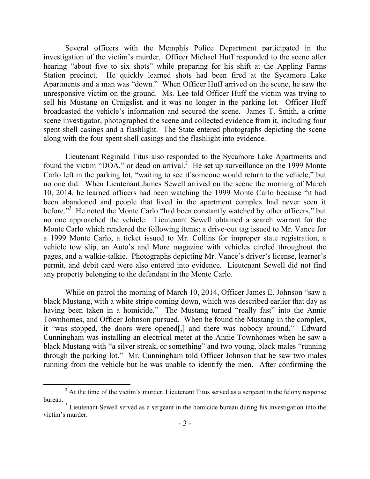Several officers with the Memphis Police Department participated in the investigation of the victim's murder. Officer Michael Huff responded to the scene after hearing "about five to six shots" while preparing for his shift at the Appling Farms Station precinct. He quickly learned shots had been fired at the Sycamore Lake Apartments and a man was "down." When Officer Huff arrived on the scene, he saw the unresponsive victim on the ground. Ms. Lee told Officer Huff the victim was trying to sell his Mustang on Craigslist, and it was no longer in the parking lot. Officer Huff broadcasted the vehicle's information and secured the scene. James T. Smith, a crime scene investigator, photographed the scene and collected evidence from it, including four spent shell casings and a flashlight. The State entered photographs depicting the scene along with the four spent shell casings and the flashlight into evidence.

Lieutenant Reginald Titus also responded to the Sycamore Lake Apartments and found the victim "DOA," or dead on arrival.<sup>2</sup> He set up surveillance on the 1999 Monte Carlo left in the parking lot, "waiting to see if someone would return to the vehicle," but no one did. When Lieutenant James Sewell arrived on the scene the morning of March 10, 2014, he learned officers had been watching the 1999 Monte Carlo because "it had been abandoned and people that lived in the apartment complex had never seen it before."<sup>3</sup> He noted the Monte Carlo "had been constantly watched by other officers," but no one approached the vehicle. Lieutenant Sewell obtained a search warrant for the Monte Carlo which rendered the following items: a drive-out tag issued to Mr. Vance for a 1999 Monte Carlo, a ticket issued to Mr. Collins for improper state registration, a vehicle tow slip, an Auto's and More magazine with vehicles circled throughout the pages, and a walkie-talkie. Photographs depicting Mr. Vance's driver's license, learner's permit, and debit card were also entered into evidence. Lieutenant Sewell did not find any property belonging to the defendant in the Monte Carlo.

While on patrol the morning of March 10, 2014, Officer James E. Johnson "saw a black Mustang, with a white stripe coming down, which was described earlier that day as having been taken in a homicide." The Mustang turned "really fast" into the Annie Townhomes, and Officer Johnson pursued. When he found the Mustang in the complex, it "was stopped, the doors were opened[,] and there was nobody around." Edward Cunningham was installing an electrical meter at the Annie Townhomes when he saw a black Mustang with "a silver streak, or something" and two young, black males "running through the parking lot." Mr. Cunningham told Officer Johnson that he saw two males running from the vehicle but he was unable to identify the men. After confirming the

 $\overline{a}$ 

 $2$  At the time of the victim's murder, Lieutenant Titus served as a sergeant in the felony response bureau.

<sup>&</sup>lt;sup>3</sup> Lieutenant Sewell served as a sergeant in the homicide bureau during his investigation into the victim's murder.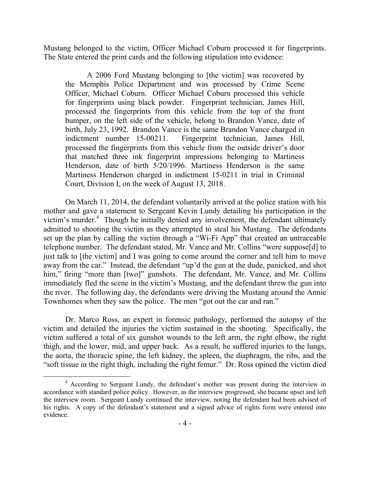Mustang belonged to the victim, Officer Michael Coburn processed it for fingerprints. The State entered the print cards and the following stipulation into evidence:

A 2006 Ford Mustang belonging to [the victim] was recovered by the Memphis Police Department and was processed by Crime Scene Officer, Michael Coburn. Officer Michael Coburn processed this vehicle for fingerprints using black powder. Fingerprint technician, James Hill, processed the fingerprints from this vehicle from the top of the front bumper, on the left side of the vehicle, belong to Brandon Vance, date of birth, July 23, 1992. Brandon Vance is the same Brandon Vance charged in indictment number 15-00211. Fingerprint technician, James Hill, processed the fingerprints from this vehicle from the outside driver's door that matched three ink fingerprint impressions belonging to Martiness Henderson, date of birth 5/20/1996. Martiness Henderson is the same Martiness Henderson charged in indictment 15-0211 in trial in Criminal Court, Division I, on the week of August 13, 2018.

On March 11, 2014, the defendant voluntarily arrived at the police station with his mother and gave a statement to Sergeant Kevin Lundy detailing his participation in the victim's murder. 4 Though he initially denied any involvement, the defendant ultimately admitted to shooting the victim as they attempted to steal his Mustang. The defendants set up the plan by calling the victim through a "Wi-Fi App" that created an untraceable telephone number. The defendant stated, Mr. Vance and Mr. Collins "were suppose[d] to just talk to [the victim] and I was going to come around the corner and tell him to move away from the car." Instead, the defendant "up'd the gun at the dude, panicked, and shot him," firing "more than [two]" gunshots. The defendant, Mr. Vance, and Mr. Collins immediately fled the scene in the victim's Mustang, and the defendant threw the gun into the river. The following day, the defendants were driving the Mustang around the Annie Townhomes when they saw the police. The men "got out the car and ran."

Dr. Marco Ross, an expert in forensic pathology, performed the autopsy of the victim and detailed the injuries the victim sustained in the shooting. Specifically, the victim suffered a total of six gunshot wounds to the left arm, the right elbow, the right thigh, and the lower, mid, and upper back. As a result, he suffered injuries to the lungs, the aorta, the thoracic spine, the left kidney, the spleen, the diaphragm, the ribs, and the "soft tissue in the right thigh, including the right femur." Dr. Ross opined the victim died

 $\overline{a}$ 

<sup>4</sup> According to Sergeant Lundy, the defendant's mother was present during the interview in accordance with standard police policy. However, as the interview progressed, she became upset and left the interview room. Sergeant Lundy continued the interview, noting the defendant had been advised of his rights. A copy of the defendant's statement and a signed advice of rights form were entered into evidence.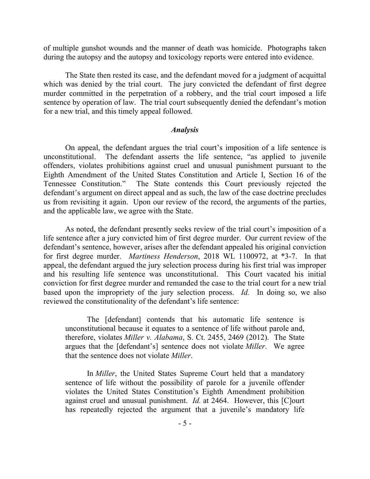of multiple gunshot wounds and the manner of death was homicide. Photographs taken during the autopsy and the autopsy and toxicology reports were entered into evidence.

The State then rested its case, and the defendant moved for a judgment of acquittal which was denied by the trial court. The jury convicted the defendant of first degree murder committed in the perpetration of a robbery, and the trial court imposed a life sentence by operation of law. The trial court subsequently denied the defendant's motion for a new trial, and this timely appeal followed.

#### *Analysis*

On appeal, the defendant argues the trial court's imposition of a life sentence is unconstitutional. The defendant asserts the life sentence, "as applied to juvenile offenders, violates prohibitions against cruel and unusual punishment pursuant to the Eighth Amendment of the United States Constitution and Article I, Section 16 of the Tennessee Constitution." The State contends this Court previously rejected the defendant's argument on direct appeal and as such, the law of the case doctrine precludes us from revisiting it again. Upon our review of the record, the arguments of the parties, and the applicable law, we agree with the State.

As noted, the defendant presently seeks review of the trial court's imposition of a life sentence after a jury convicted him of first degree murder. Our current review of the defendant's sentence, however, arises after the defendant appealed his original conviction for first degree murder. *Martiness Henderson*, 2018 WL 1100972, at \*3-7. In that appeal, the defendant argued the jury selection process during his first trial was improper and his resulting life sentence was unconstitutional. This Court vacated his initial conviction for first degree murder and remanded the case to the trial court for a new trial based upon the impropriety of the jury selection process. *Id.* In doing so, we also reviewed the constitutionality of the defendant's life sentence:

The [defendant] contends that his automatic life sentence is unconstitutional because it equates to a sentence of life without parole and, therefore, violates *Miller v. Alabama*, S. Ct. 2455, 2469 (2012). The State argues that the [defendant's] sentence does not violate *Miller*. We agree that the sentence does not violate *Miller*.

In *Miller*, the United States Supreme Court held that a mandatory sentence of life without the possibility of parole for a juvenile offender violates the United States Constitution's Eighth Amendment prohibition against cruel and unusual punishment. *Id.* at 2464. However, this [C]ourt has repeatedly rejected the argument that a juvenile's mandatory life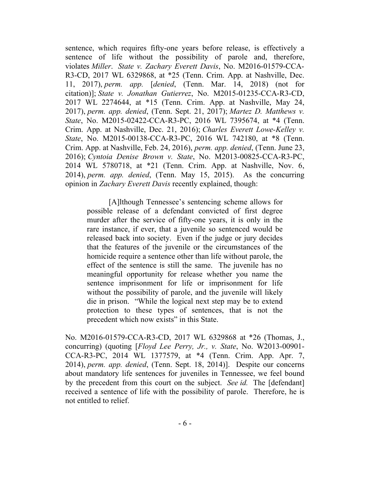sentence, which requires fifty-one years before release, is effectively a sentence of life without the possibility of parole and, therefore, violates *Miller*. *State v. Zachary Everett Davis*, No. M2016-01579-CCA-R3-CD, 2017 WL 6329868, at \*25 (Tenn. Crim. App. at Nashville, Dec. 11, 2017), *perm. app.* [*denied*, (Tenn. Mar. 14, 2018) (not for citation)]; *State v. Jonathan Gutierrez*, No. M2015-01235-CCA-R3-CD, 2017 WL 2274644, at \*15 (Tenn. Crim. App. at Nashville, May 24, 2017), *perm. app. denied*, (Tenn. Sept. 21, 2017); *Martez D. Matthews v. State*, No. M2015-02422-CCA-R3-PC, 2016 WL 7395674, at \*4 (Tenn. Crim. App. at Nashville, Dec. 21, 2016); *Charles Everett Lowe-Kelley v. State*, No. M2015-00138-CCA-R3-PC, 2016 WL 742180, at \*8 (Tenn. Crim. App. at Nashville, Feb. 24, 2016), *perm. app. denied*, (Tenn. June 23, 2016); *Cyntoia Denise Brown v. State*, No. M2013-00825-CCA-R3-PC, 2014 WL 5780718, at \*21 (Tenn. Crim. App. at Nashville, Nov. 6, 2014), *perm. app. denied*, (Tenn. May 15, 2015). As the concurring opinion in *Zachary Everett Davis* recently explained, though:

[A]lthough Tennessee's sentencing scheme allows for possible release of a defendant convicted of first degree murder after the service of fifty-one years, it is only in the rare instance, if ever, that a juvenile so sentenced would be released back into society. Even if the judge or jury decides that the features of the juvenile or the circumstances of the homicide require a sentence other than life without parole, the effect of the sentence is still the same. The juvenile has no meaningful opportunity for release whether you name the sentence imprisonment for life or imprisonment for life without the possibility of parole, and the juvenile will likely die in prison. "While the logical next step may be to extend protection to these types of sentences, that is not the precedent which now exists" in this State.

No. M2016-01579-CCA-R3-CD, 2017 WL 6329868 at \*26 (Thomas, J., concurring) (quoting [*Floyd Lee Perry, Jr., v. State*, No. W2013-00901- CCA-R3-PC, 2014 WL 1377579, at \*4 (Tenn. Crim. App. Apr. 7, 2014), *perm. app. denied*, (Tenn. Sept. 18, 2014)]. Despite our concerns about mandatory life sentences for juveniles in Tennessee, we feel bound by the precedent from this court on the subject. *See id.* The [defendant] received a sentence of life with the possibility of parole. Therefore, he is not entitled to relief.